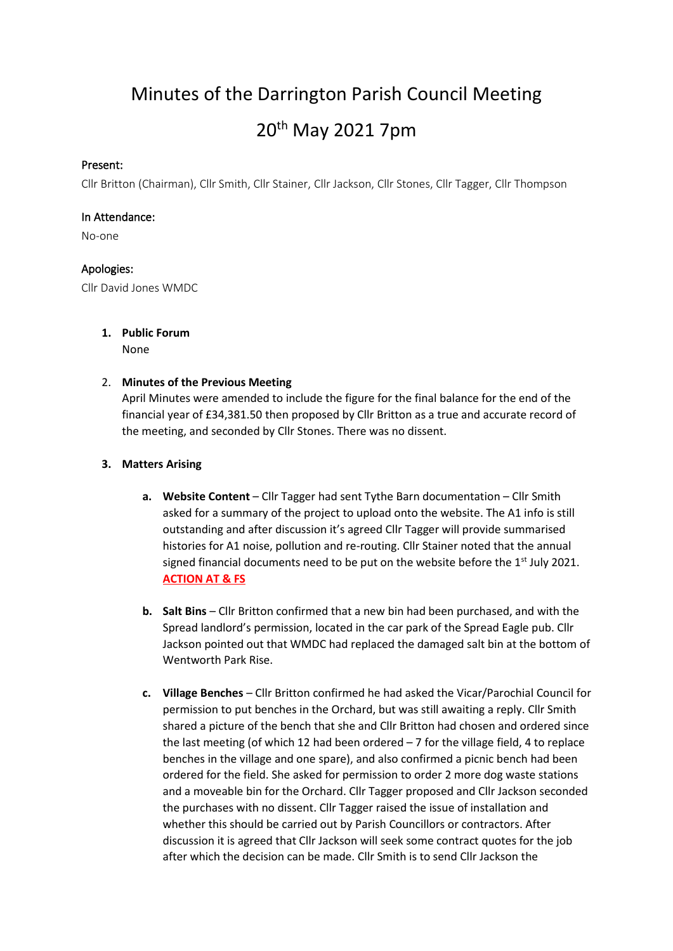Minutes of the Darrington Parish Council Meeting 20th May 2021 7pm

## Present:

Cllr Britton (Chairman), Cllr Smith, Cllr Stainer, Cllr Jackson, Cllr Stones, Cllr Tagger, Cllr Thompson

### In Attendance:

No-one

## Apologies:

Cllr David Jones WMDC

## **1. Public Forum** None

## 2. **Minutes of the Previous Meeting**

April Minutes were amended to include the figure for the final balance for the end of the financial year of £34,381.50 then proposed by Cllr Britton as a true and accurate record of the meeting, and seconded by Cllr Stones. There was no dissent.

## **3. Matters Arising**

- **a. Website Content** Cllr Tagger had sent Tythe Barn documentation Cllr Smith asked for a summary of the project to upload onto the website. The A1 info is still outstanding and after discussion it's agreed Cllr Tagger will provide summarised histories for A1 noise, pollution and re-routing. Cllr Stainer noted that the annual signed financial documents need to be put on the website before the  $1<sup>st</sup>$  July 2021. **ACTION AT & FS**
- **b. Salt Bins** Cllr Britton confirmed that a new bin had been purchased, and with the Spread landlord's permission, located in the car park of the Spread Eagle pub. Cllr Jackson pointed out that WMDC had replaced the damaged salt bin at the bottom of Wentworth Park Rise.
- **c. Village Benches** Cllr Britton confirmed he had asked the Vicar/Parochial Council for permission to put benches in the Orchard, but was still awaiting a reply. Cllr Smith shared a picture of the bench that she and Cllr Britton had chosen and ordered since the last meeting (of which 12 had been ordered  $-7$  for the village field, 4 to replace benches in the village and one spare), and also confirmed a picnic bench had been ordered for the field. She asked for permission to order 2 more dog waste stations and a moveable bin for the Orchard. Cllr Tagger proposed and Cllr Jackson seconded the purchases with no dissent. Cllr Tagger raised the issue of installation and whether this should be carried out by Parish Councillors or contractors. After discussion it is agreed that Cllr Jackson will seek some contract quotes for the job after which the decision can be made. Cllr Smith is to send Cllr Jackson the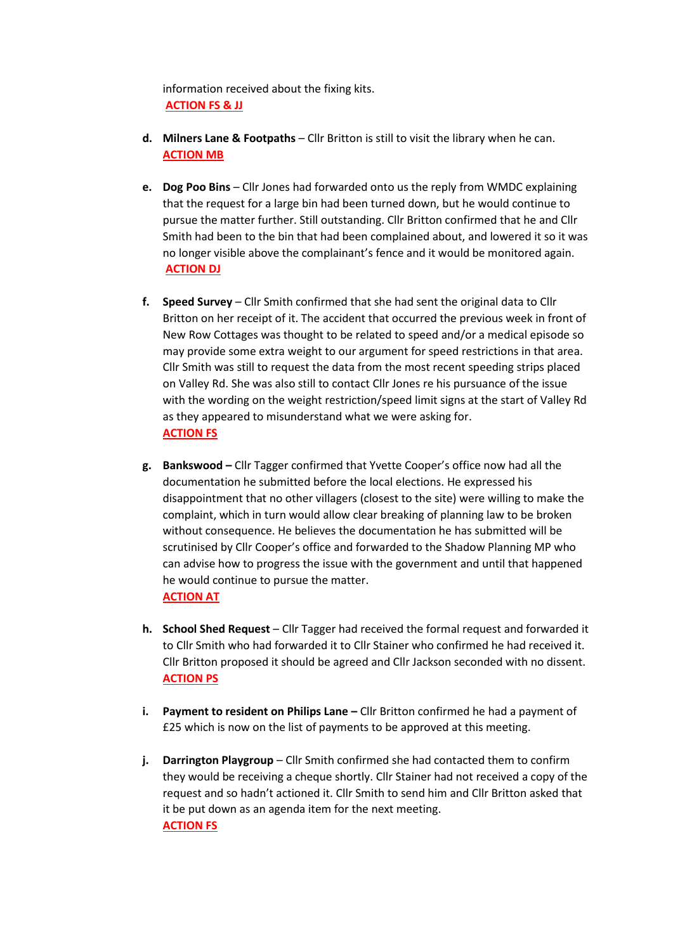information received about the fixing kits. **ACTION FS & JJ**

- **d. Milners Lane & Footpaths** Cllr Britton is still to visit the library when he can. **ACTION MB**
- **e. Dog Poo Bins** Cllr Jones had forwarded onto us the reply from WMDC explaining that the request for a large bin had been turned down, but he would continue to pursue the matter further. Still outstanding. Cllr Britton confirmed that he and Cllr Smith had been to the bin that had been complained about, and lowered it so it was no longer visible above the complainant's fence and it would be monitored again. **ACTION DJ**
- **f. Speed Survey** Cllr Smith confirmed that she had sent the original data to Cllr Britton on her receipt of it. The accident that occurred the previous week in front of New Row Cottages was thought to be related to speed and/or a medical episode so may provide some extra weight to our argument for speed restrictions in that area. Cllr Smith was still to request the data from the most recent speeding strips placed on Valley Rd. She was also still to contact Cllr Jones re his pursuance of the issue with the wording on the weight restriction/speed limit signs at the start of Valley Rd as they appeared to misunderstand what we were asking for. **ACTION FS**
- **g. Bankswood –** Cllr Tagger confirmed that Yvette Cooper's office now had all the documentation he submitted before the local elections. He expressed his disappointment that no other villagers (closest to the site) were willing to make the complaint, which in turn would allow clear breaking of planning law to be broken without consequence. He believes the documentation he has submitted will be scrutinised by Cllr Cooper's office and forwarded to the Shadow Planning MP who can advise how to progress the issue with the government and until that happened he would continue to pursue the matter. **ACTION AT**
- **h. School Shed Request** Cllr Tagger had received the formal request and forwarded it to Cllr Smith who had forwarded it to Cllr Stainer who confirmed he had received it. Cllr Britton proposed it should be agreed and Cllr Jackson seconded with no dissent. **ACTION PS**
- **i. Payment to resident on Philips Lane –** Cllr Britton confirmed he had a payment of £25 which is now on the list of payments to be approved at this meeting.
- **j. Darrington Playgroup** Cllr Smith confirmed she had contacted them to confirm they would be receiving a cheque shortly. Cllr Stainer had not received a copy of the request and so hadn't actioned it. Cllr Smith to send him and Cllr Britton asked that it be put down as an agenda item for the next meeting. **ACTION FS**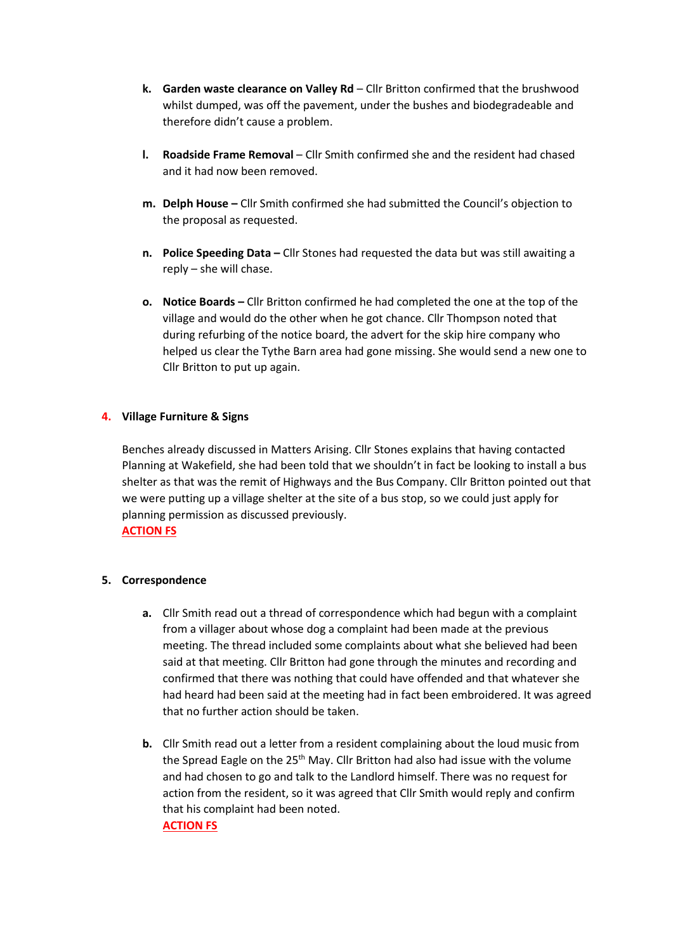- **k. Garden waste clearance on Valley Rd** Cllr Britton confirmed that the brushwood whilst dumped, was off the pavement, under the bushes and biodegradeable and therefore didn't cause a problem.
- **l. Roadside Frame Removal** Cllr Smith confirmed she and the resident had chased and it had now been removed.
- **m. Delph House –** Cllr Smith confirmed she had submitted the Council's objection to the proposal as requested.
- **n. Police Speeding Data –** Cllr Stones had requested the data but was still awaiting a reply – she will chase.
- **o. Notice Boards –** Cllr Britton confirmed he had completed the one at the top of the village and would do the other when he got chance. Cllr Thompson noted that during refurbing of the notice board, the advert for the skip hire company who helped us clear the Tythe Barn area had gone missing. She would send a new one to Cllr Britton to put up again.

## **4. Village Furniture & Signs**

Benches already discussed in Matters Arising. Cllr Stones explains that having contacted Planning at Wakefield, she had been told that we shouldn't in fact be looking to install a bus shelter as that was the remit of Highways and the Bus Company. Cllr Britton pointed out that we were putting up a village shelter at the site of a bus stop, so we could just apply for planning permission as discussed previously. **ACTION FS**

### **5. Correspondence**

- **a.** Cllr Smith read out a thread of correspondence which had begun with a complaint from a villager about whose dog a complaint had been made at the previous meeting. The thread included some complaints about what she believed had been said at that meeting. Cllr Britton had gone through the minutes and recording and confirmed that there was nothing that could have offended and that whatever she had heard had been said at the meeting had in fact been embroidered. It was agreed that no further action should be taken.
- **b.** Cllr Smith read out a letter from a resident complaining about the loud music from the Spread Eagle on the 25<sup>th</sup> May. Cllr Britton had also had issue with the volume and had chosen to go and talk to the Landlord himself. There was no request for action from the resident, so it was agreed that Cllr Smith would reply and confirm that his complaint had been noted. **ACTION FS**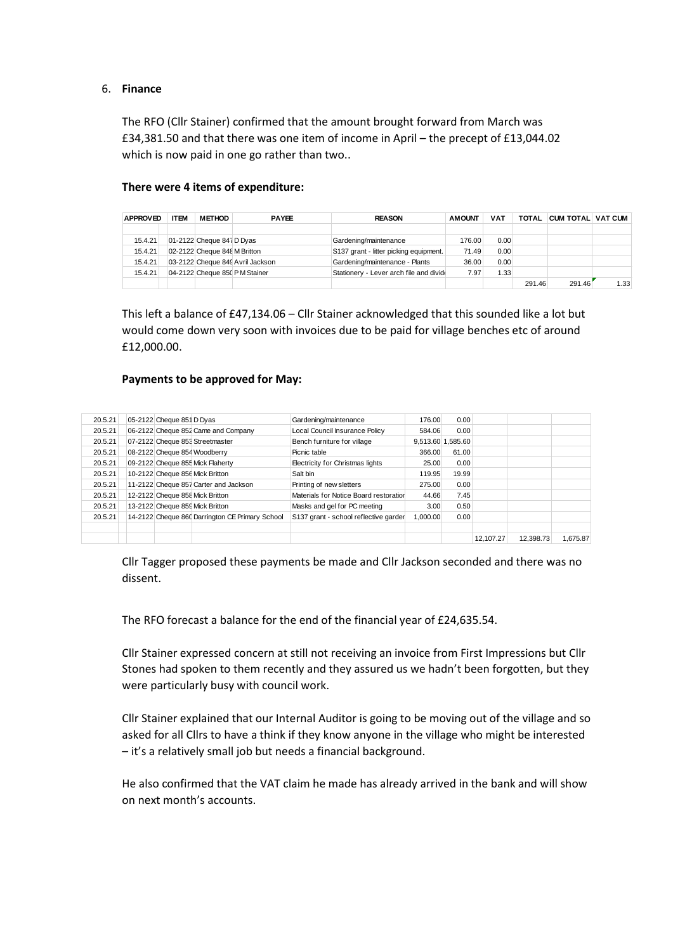#### 6. **Finance**

The RFO (Cllr Stainer) confirmed that the amount brought forward from March was £34,381.50 and that there was one item of income in April – the precept of £13,044.02 which is now paid in one go rather than two..

#### **There were 4 items of expenditure:**

| <b>APPROVED</b> | <b>ITEM</b> | <b>METHOD</b>                | <b>PAYEE</b>                     | <b>REASON</b>                           | <b>AMOUNT</b> | <b>VAT</b> | <b>TOTAL</b> | <b>CUM TOTAL VAT CUM</b> |      |
|-----------------|-------------|------------------------------|----------------------------------|-----------------------------------------|---------------|------------|--------------|--------------------------|------|
|                 |             |                              |                                  |                                         |               |            |              |                          |      |
| 15.4.21         |             | 01-2122 Cheque 847 D Dyas    |                                  | Gardening/maintenance                   | 176.00        | 0.00       |              |                          |      |
| 15.4.21         |             | 02-2122 Cheque 848 M Britton |                                  | S137 grant - litter picking equipment.  | 71.49         | 0.00       |              |                          |      |
| 15.4.21         |             |                              | 03-2122 Cheque 849 Avril Jackson | Gardening/maintenance - Plants          | 36.00         | 0.00       |              |                          |      |
| 15.4.21         |             |                              | 04-2122 Cheque 850 PM Stainer    | Stationery - Lever arch file and divide | 7.97          | 1.33       |              |                          |      |
|                 |             |                              |                                  |                                         |               |            | 291.46       | 291.46                   | 1.33 |

This left a balance of £47,134.06 – Cllr Stainer acknowledged that this sounded like a lot but would come down very soon with invoices due to be paid for village benches etc of around £12,000.00.

### **Payments to be approved for May:**

| 20.5.21 | 05-2122 Cheque 851 D Dyas |                                                 | Gardening/maintenance                  | 176.00            | 0.00  |           |           |          |
|---------|---------------------------|-------------------------------------------------|----------------------------------------|-------------------|-------|-----------|-----------|----------|
| 20.5.21 |                           | 06-2122 Cheque 852 Came and Company             | Local Council Insurance Policy         | 584.06            | 0.00  |           |           |          |
| 20.5.21 |                           | 07-2122 Cheque 853 Streetmaster                 | Bench furniture for village            | 9,513.60 1,585.60 |       |           |           |          |
| 20.5.21 |                           | 08-2122 Cheque 854 Woodberry                    | Picnic table                           | 366.00            | 61.00 |           |           |          |
| 20.5.21 |                           | 09-2122 Cheque 855 Mick Flaherty                | Electricity for Christmas lights       | 25.00             | 0.00  |           |           |          |
| 20.5.21 |                           | 10-2122 Cheque 856 Mick Britton                 | Salt bin                               | 119.95            | 19.99 |           |           |          |
| 20.5.21 |                           | 11-2122 Cheque 857 Carter and Jackson           | Printing of new sletters               | 275.00            | 0.00  |           |           |          |
| 20.5.21 |                           | 12-2122 Cheque 858 Mick Britton                 | Materials for Notice Board restoration | 44.66             | 7.45  |           |           |          |
| 20.5.21 |                           | 13-2122 Cheque 859 Mick Britton                 | Masks and gel for PC meeting           | 3.00              | 0.50  |           |           |          |
| 20.5.21 |                           | 14-2122 Cheque 860 Darrington CE Primary School | S137 grant - school reflective garder  | 1.000.00          | 0.00  |           |           |          |
|         |                           |                                                 |                                        |                   |       |           |           |          |
|         |                           |                                                 |                                        |                   |       | 12.107.27 | 12.398.73 | 1.675.87 |

Cllr Tagger proposed these payments be made and Cllr Jackson seconded and there was no dissent.

The RFO forecast a balance for the end of the financial year of £24,635.54.

Cllr Stainer expressed concern at still not receiving an invoice from First Impressions but Cllr Stones had spoken to them recently and they assured us we hadn't been forgotten, but they were particularly busy with council work.

Cllr Stainer explained that our Internal Auditor is going to be moving out of the village and so asked for all Cllrs to have a think if they know anyone in the village who might be interested – it's a relatively small job but needs a financial background.

He also confirmed that the VAT claim he made has already arrived in the bank and will show on next month's accounts.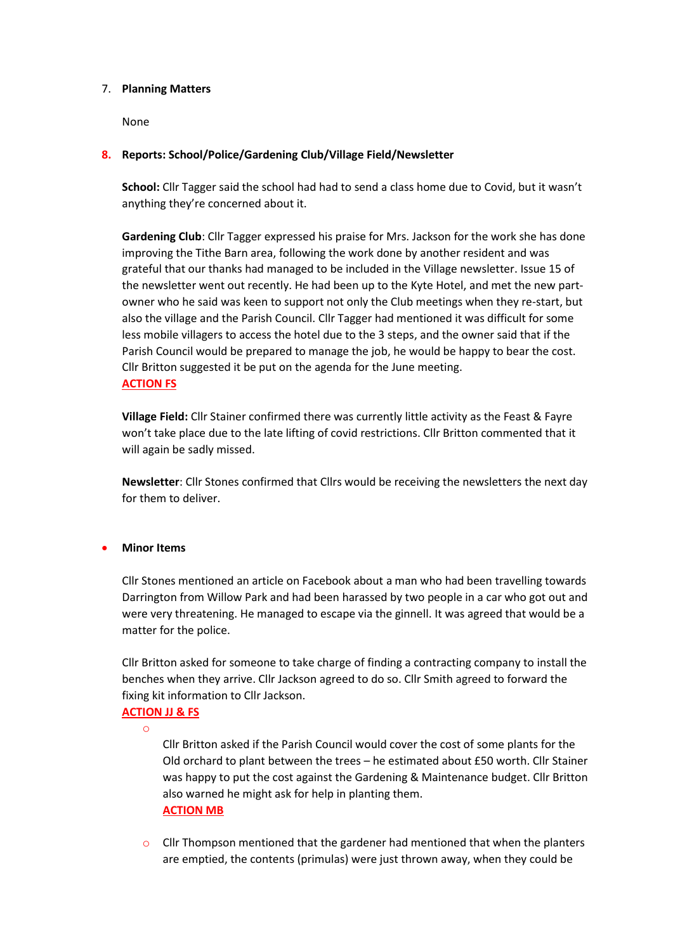#### 7. **Planning Matters**

None

## **8. Reports: School/Police/Gardening Club/Village Field/Newsletter**

**School:** Cllr Tagger said the school had had to send a class home due to Covid, but it wasn't anything they're concerned about it.

**Gardening Club**: Cllr Tagger expressed his praise for Mrs. Jackson for the work she has done improving the Tithe Barn area, following the work done by another resident and was grateful that our thanks had managed to be included in the Village newsletter. Issue 15 of the newsletter went out recently. He had been up to the Kyte Hotel, and met the new partowner who he said was keen to support not only the Club meetings when they re-start, but also the village and the Parish Council. Cllr Tagger had mentioned it was difficult for some less mobile villagers to access the hotel due to the 3 steps, and the owner said that if the Parish Council would be prepared to manage the job, he would be happy to bear the cost. Cllr Britton suggested it be put on the agenda for the June meeting. **ACTION FS**

**Village Field:** Cllr Stainer confirmed there was currently little activity as the Feast & Fayre won't take place due to the late lifting of covid restrictions. Cllr Britton commented that it will again be sadly missed.

**Newsletter**: Cllr Stones confirmed that Cllrs would be receiving the newsletters the next day for them to deliver.

### • **Minor Items**

Cllr Stones mentioned an article on Facebook about a man who had been travelling towards Darrington from Willow Park and had been harassed by two people in a car who got out and were very threatening. He managed to escape via the ginnell. It was agreed that would be a matter for the police.

Cllr Britton asked for someone to take charge of finding a contracting company to install the benches when they arrive. Cllr Jackson agreed to do so. Cllr Smith agreed to forward the fixing kit information to Cllr Jackson.

# **ACTION JJ & FS**

o

Cllr Britton asked if the Parish Council would cover the cost of some plants for the Old orchard to plant between the trees – he estimated about £50 worth. Cllr Stainer was happy to put the cost against the Gardening & Maintenance budget. Cllr Britton also warned he might ask for help in planting them. **ACTION MB**

 $\circ$  Cllr Thompson mentioned that the gardener had mentioned that when the planters are emptied, the contents (primulas) were just thrown away, when they could be